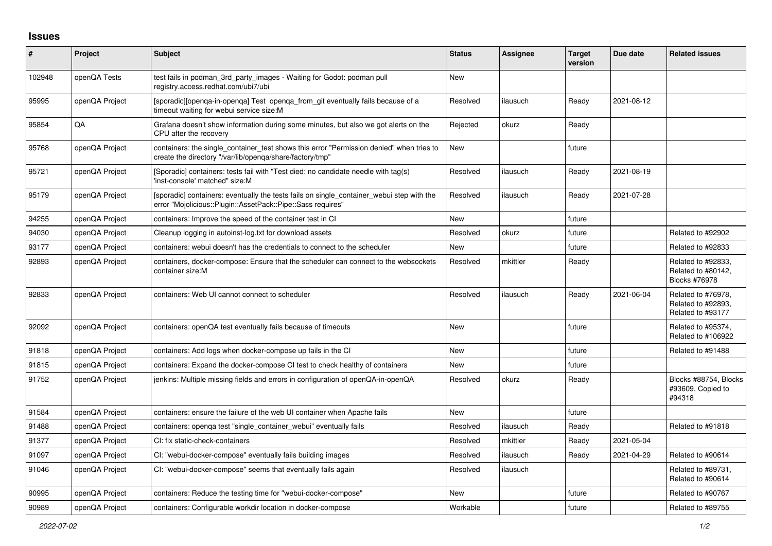## **Issues**

| #      | Project        | <b>Subject</b>                                                                                                                                           | <b>Status</b> | Assignee | <b>Target</b><br>version | Due date   | <b>Related issues</b>                                         |
|--------|----------------|----------------------------------------------------------------------------------------------------------------------------------------------------------|---------------|----------|--------------------------|------------|---------------------------------------------------------------|
| 102948 | openQA Tests   | test fails in podman 3rd party images - Waiting for Godot: podman pull<br>registry.access.redhat.com/ubi7/ubi                                            | <b>New</b>    |          |                          |            |                                                               |
| 95995  | openQA Project | [sporadic][openga-in-openga] Test openga from git eventually fails because of a<br>timeout waiting for webui service size:M                              | Resolved      | ilausuch | Ready                    | 2021-08-12 |                                                               |
| 95854  | QA             | Grafana doesn't show information during some minutes, but also we got alerts on the<br>CPU after the recovery                                            | Rejected      | okurz    | Ready                    |            |                                                               |
| 95768  | openQA Project | containers: the single container test shows this error "Permission denied" when tries to<br>create the directory "/var/lib/openqa/share/factory/tmp"     | New           |          | future                   |            |                                                               |
| 95721  | openQA Project | (Sporadic) containers: tests fail with "Test died: no candidate needle with tag(s)<br>'inst-console' matched" size:M                                     | Resolved      | ilausuch | Ready                    | 2021-08-19 |                                                               |
| 95179  | openQA Project | [sporadic] containers: eventually the tests fails on single_container_webui step with the<br>error "Mojolicious::Plugin::AssetPack::Pipe::Sass requires" | Resolved      | ilausuch | Ready                    | 2021-07-28 |                                                               |
| 94255  | openQA Project | containers: Improve the speed of the container test in CI                                                                                                | <b>New</b>    |          | future                   |            |                                                               |
| 94030  | openQA Project | Cleanup logging in autoinst-log.txt for download assets                                                                                                  | Resolved      | okurz    | future                   |            | Related to #92902                                             |
| 93177  | openQA Project | containers: webui doesn't has the credentials to connect to the scheduler                                                                                | New           |          | future                   |            | Related to #92833                                             |
| 92893  | openQA Project | containers, docker-compose: Ensure that the scheduler can connect to the websockets<br>container size:M                                                  | Resolved      | mkittler | Ready                    |            | Related to #92833,<br>Related to #80142,<br>Blocks #76978     |
| 92833  | openQA Project | containers: Web UI cannot connect to scheduler                                                                                                           | Resolved      | ilausuch | Ready                    | 2021-06-04 | Related to #76978.<br>Related to #92893,<br>Related to #93177 |
| 92092  | openQA Project | containers: openQA test eventually fails because of timeouts                                                                                             | <b>New</b>    |          | future                   |            | Related to #95374,<br>Related to #106922                      |
| 91818  | openQA Project | containers: Add logs when docker-compose up fails in the CI                                                                                              | New           |          | future                   |            | Related to #91488                                             |
| 91815  | openQA Project | containers: Expand the docker-compose CI test to check healthy of containers                                                                             | <b>New</b>    |          | future                   |            |                                                               |
| 91752  | openQA Project | jenkins: Multiple missing fields and errors in configuration of openQA-in-openQA                                                                         | Resolved      | okurz    | Ready                    |            | Blocks #88754, Blocks<br>#93609, Copied to<br>#94318          |
| 91584  | openQA Project | containers: ensure the failure of the web UI container when Apache fails                                                                                 | <b>New</b>    |          | future                   |            |                                                               |
| 91488  | openQA Project | containers: openga test "single container webui" eventually fails                                                                                        | Resolved      | ilausuch | Ready                    |            | Related to #91818                                             |
| 91377  | openQA Project | CI: fix static-check-containers                                                                                                                          | Resolved      | mkittler | Ready                    | 2021-05-04 |                                                               |
| 91097  | openQA Project | CI: "webui-docker-compose" eventually fails building images                                                                                              | Resolved      | ilausuch | Ready                    | 2021-04-29 | Related to #90614                                             |
| 91046  | openQA Project | CI: "webui-docker-compose" seems that eventually fails again                                                                                             | Resolved      | ilausuch |                          |            | Related to #89731,<br>Related to #90614                       |
| 90995  | openQA Project | containers: Reduce the testing time for "webui-docker-compose"                                                                                           | <b>New</b>    |          | future                   |            | Related to #90767                                             |
| 90989  | openQA Project | containers: Configurable workdir location in docker-compose                                                                                              | Workable      |          | future                   |            | Related to #89755                                             |